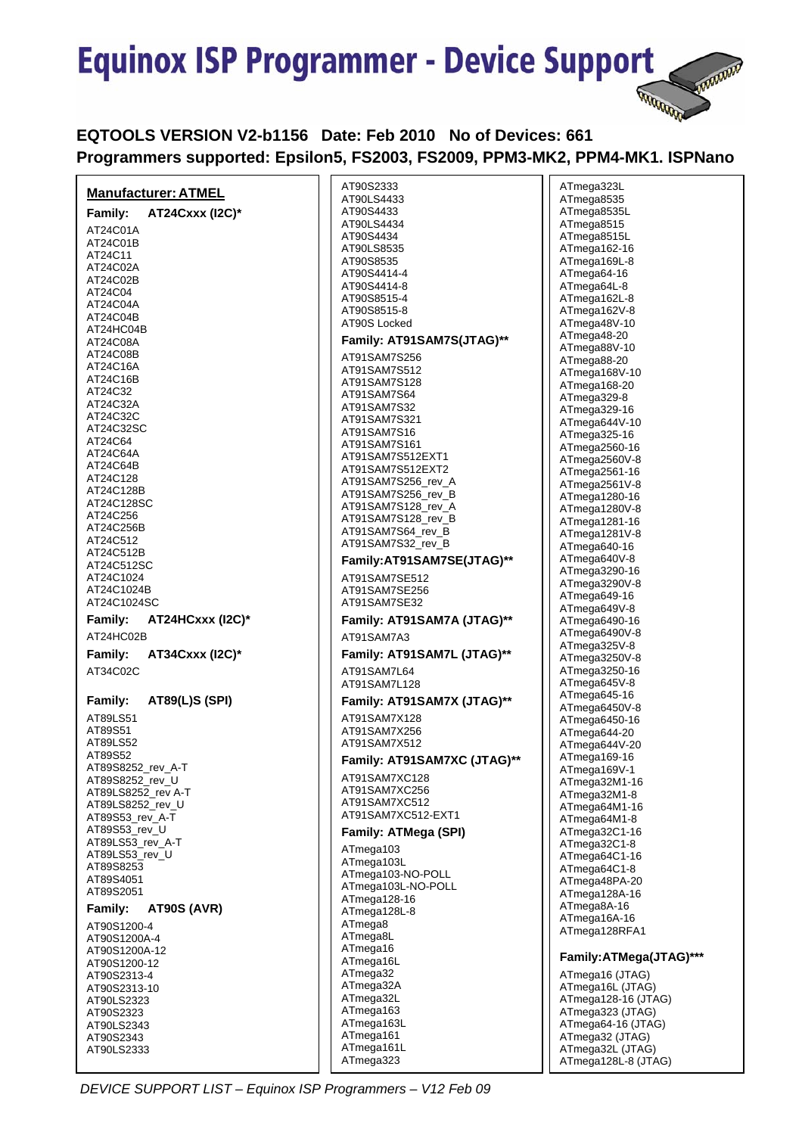

# **EQTOOLS VERSION V2-b1156 Date: Feb 2010 No of Devices: 661 Programmers supported: Epsilon5, FS2003, FS2009, PPM3-MK2, PPM4-MK1. ISPNano**

|                                  | AT90S2333                   | ATmega323L              |
|----------------------------------|-----------------------------|-------------------------|
| <b>Manufacturer: ATMEL</b>       |                             |                         |
|                                  | AT90LS4433                  | ATmega8535              |
| AT24Cxxx (I2C)*<br>Family:       | AT90S4433                   | ATmega8535L             |
|                                  | AT90LS4434                  | ATmega8515              |
| AT24C01A                         |                             |                         |
| AT24C01B                         | AT90S4434                   | ATmega8515L             |
|                                  | AT90LS8535                  | ATmega162-16            |
| AT24C11                          | AT90S8535                   | ATmega169L-8            |
| AT24C02A                         |                             |                         |
| AT24C02B                         | AT90S4414-4                 | ATmega64-16             |
|                                  | AT90S4414-8                 | ATmega64L-8             |
| AT24C04                          |                             |                         |
| AT24C04A                         | AT90S8515-4                 | ATmega162L-8            |
| AT24C04B                         | AT90S8515-8                 | ATmega162V-8            |
|                                  | AT90S Locked                | ATmega48V-10            |
| AT24HC04B                        |                             |                         |
| AT24C08A                         | Family: AT91SAM7S(JTAG)**   | ATmega48-20             |
|                                  |                             | ATmega88V-10            |
| AT24C08B                         | AT91SAM7S256                | ATmega88-20             |
| AT24C16A                         | AT91SAM7S512                |                         |
| AT24C16B                         |                             | ATmega168V-10           |
|                                  | AT91SAM7S128                | ATmega168-20            |
| AT24C32                          | AT91SAM7S64                 | ATmega329-8             |
| AT24C32A                         | AT91SAM7S32                 |                         |
| AT24C32C                         |                             | ATmega329-16            |
|                                  | AT91SAM7S321                | ATmega644V-10           |
| AT24C32SC                        | AT91SAM7S16                 | ATmega325-16            |
| AT24C64                          | AT91SAM7S161                |                         |
| AT24C64A                         |                             | ATmega2560-16           |
|                                  | AT91SAM7S512EXT1            | ATmega2560V-8           |
| AT24C64B                         | AT91SAM7S512EXT2            | ATmega2561-16           |
| AT24C128                         | AT91SAM7S256_rev_A          |                         |
| AT24C128B                        |                             | ATmega2561V-8           |
|                                  | AT91SAM7S256_rev_B          | ATmega1280-16           |
| AT24C128SC                       | AT91SAM7S128_rev_A          | ATmega1280V-8           |
| AT24C256                         | AT91SAM7S128_rev_B          |                         |
| AT24C256B                        |                             | ATmega1281-16           |
|                                  | AT91SAM7S64_rev_B           | ATmega1281V-8           |
| AT24C512                         | AT91SAM7S32 rev B           | ATmega640-16            |
| AT24C512B                        |                             |                         |
| AT24C512SC                       | Family:AT91SAM7SE(JTAG)**   | ATmega640V-8            |
|                                  |                             | ATmega3290-16           |
| AT24C1024                        | AT91SAM7SE512               | ATmega3290V-8           |
| AT24C1024B                       | AT91SAM7SE256               |                         |
| AT24C1024SC                      | AT91SAM7SE32                | ATmega649-16            |
|                                  |                             | ATmega649V-8            |
| Family:<br>AT24HCxxx (I2C)*      | Family: AT91SAM7A (JTAG)**  | ATmega6490-16           |
|                                  |                             |                         |
| AT24HC02B                        | AT91SAM7A3                  | ATmega6490V-8           |
|                                  |                             | ATmega325V-8            |
| Family:<br>AT34Cxxx (12C)*       | Family: AT91SAM7L (JTAG)**  | ATmega3250V-8           |
|                                  |                             |                         |
| AT34C02C                         | AT91SAM7L64                 | ATmega3250-16           |
|                                  | AT91SAM7L128                | ATmega645V-8            |
|                                  |                             | ATmega645-16            |
| Family:<br><b>AT89(L)S (SPI)</b> | Family: AT91SAM7X (JTAG)**  |                         |
|                                  |                             | ATmega6450V-8           |
| AT89LS51                         | AT91SAM7X128                | ATmega6450-16           |
| AT89S51                          | AT91SAM7X256                | ATmega644-20            |
| AT89LS52                         | AT91SAM7X512                |                         |
|                                  |                             | ATmega644V-20           |
| AT89S52                          | Family: AT91SAM7XC (JTAG)** | ATmega169-16            |
| AT89S8252_rev_A-T                |                             | ATmega169V-1            |
| AT89S8252_rev_U                  | AT91SAM7XC128               | ATmega32M1-16           |
|                                  | AT91SAM7XC256               |                         |
| AT89LS8252_rev A-T               |                             | ATmega32M1-8            |
| AT89LS8252_rev_U                 | AT91SAM7XC512               | ATmega64M1-16           |
| AT89S53_rev_A-T                  | AT91SAM7XC512-EXT1          |                         |
|                                  |                             | ATmega64M1-8            |
| AT89S53_rev_U                    | <b>Family: ATMega (SPI)</b> | ATmega32C1-16           |
| AT89LS53_rev_A-T                 |                             | ATmega32C1-8            |
| AT89LS53 rev U                   | ATmega103                   | ATmega64C1-16           |
|                                  | ATmega103L                  |                         |
| AT89S8253                        | ATmega103-NO-POLL           | ATmega64C1-8            |
| AT89S4051                        |                             | ATmega48PA-20           |
| AT89S2051                        | ATmega103L-NO-POLL          | ATmega128A-16           |
|                                  | ATmega128-16                |                         |
| Family:<br>AT90S (AVR)           | ATmega128L-8                | ATmega8A-16             |
|                                  |                             | ATmega16A-16            |
| AT90S1200-4                      | ATmega8                     | ATmega128RFA1           |
| AT90S1200A-4                     | ATmega8L                    |                         |
|                                  | ATmega16                    |                         |
| AT90S1200A-12                    |                             | Family: ATMega(JTAG)*** |
| AT90S1200-12                     | ATmega16L                   |                         |
| AT90S2313-4                      | ATmega32                    | ATmega16 (JTAG)         |
|                                  | ATmega32A                   | ATmega16L (JTAG)        |
| AT90S2313-10                     |                             |                         |
| AT90LS2323                       | ATmega32L                   | ATmega128-16 (JTAG)     |
| AT90S2323                        | ATmega163                   | ATmega323 (JTAG)        |
|                                  | ATmega163L                  | ATmega64-16 (JTAG)      |
| AT90LS2343                       |                             |                         |
| AT90S2343                        | ATmega161                   | ATmega32 (JTAG)         |
| AT90LS2333                       | ATmega161L                  | ATmega32L (JTAG)        |
|                                  | ATmega323                   | ATmega128L-8 (JTAG)     |
|                                  |                             |                         |

 *DEVICE SUPPORT LIST – Equinox ISP Programmers – V12 Feb 09*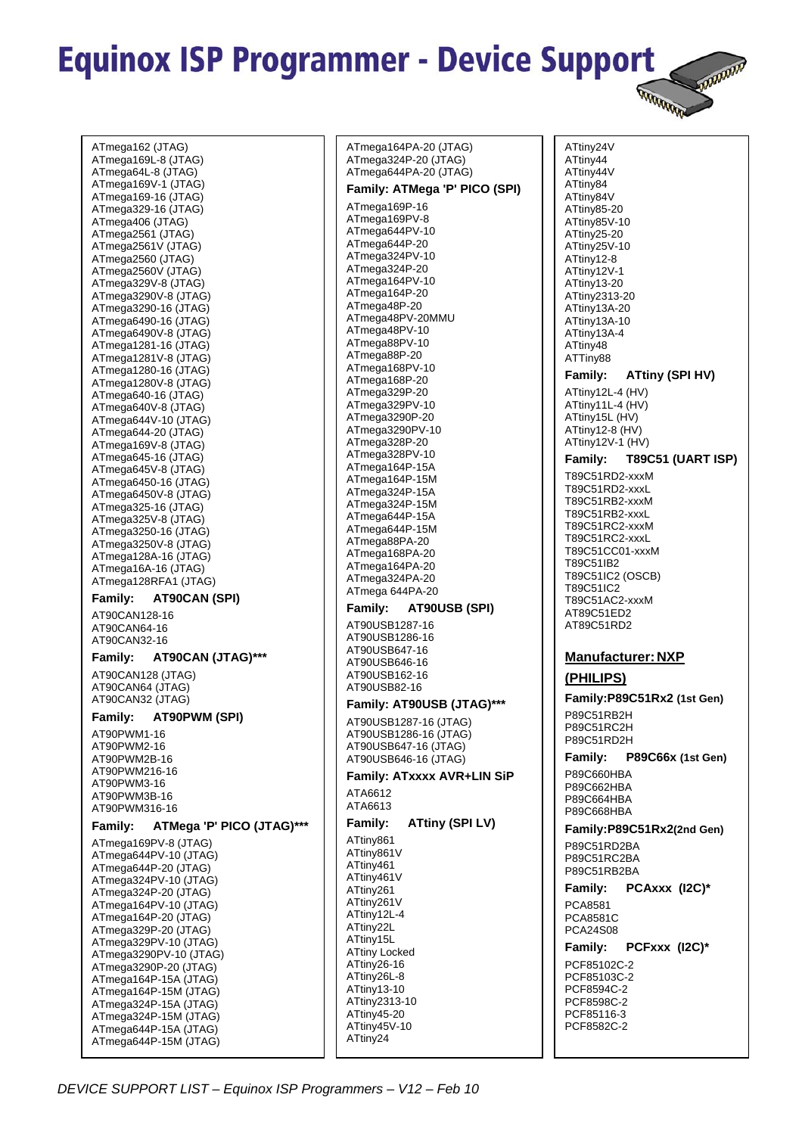**ARRANGE** 

ATmega162 (JTAG) ATmega169L-8 (JTAG) ATmega64L-8 (JTAG) ATmega169V-1 (JTAG) ATmega169-16 (JTAG) ATmega329-16 (JTAG) ATmega406 (JTAG) ATmega2561 (JTAG) ATmega2561V (JTAG) ATmega2560 (JTAG) ATmega2560V (JTAG) ATmega329V-8 (JTAG) ATmega3290V-8 (JTAG) ATmega3290-16 (JTAG) ATmega6490-16 (JTAG) ATmega6490V-8 (JTAG) ATmega1281-16 (JTAG) ATmega1281V-8 (JTAG) ATmega1280-16 (JTAG) ATmega1280V-8 (JTAG) ATmega640-16 (JTAG) ATmega640V-8 (JTAG) ATmega644V-10 (JTAG) ATmega644-20 (JTAG) ATmega169V-8 (JTAG) ATmega645-16 (JTAG) ATmega645V-8 (JTAG) ATmega6450-16 (JTAG) ATmega6450V-8 (JTAG) ATmega325-16 (JTAG) ATmega325V-8 (JTAG) ATmega3250-16 (JTAG) ATmega3250V-8 (JTAG) ATmega128A-16 (JTAG) ATmega16A-16 (JTAG) ATmega128RFA1 (JTAG) **Family: AT90CAN (SPI)**  AT90CAN128-16 AT90CAN64-16 AT90CAN32-16 **Family: AT90CAN (JTAG)\*\*\***  AT90CAN128 (JTAG) AT90CAN64 (JTAG) AT90CAN32 (JTAG) **Family: AT90PWM (SPI)**  AT90PWM1-16 AT90PWM2-16 AT90PWM2B-16 AT90PWM216-16 AT90PWM3-16 AT90PWM3B-16 AT90PWM316-16 **Family: ATMega 'P' PICO (JTAG)\*\*\***  ATmega169PV-8 (JTAG) ATmega644PV-10 (JTAG) ATmega644P-20 (JTAG) ATmega324PV-10 (JTAG) ATmega324P-20 (JTAG) ATmega164PV-10 (JTAG) ATmega164P-20 (JTAG) ATmega329P-20 (JTAG) ATmega329PV-10 (JTAG) ATmega3290PV-10 (JTAG) ATmega3290P-20 (JTAG) ATmega164P-15A (JTAG) ATmega164P-15M (JTAG) ATmega324P-15A (JTAG) ATmega324P-15M (JTAG) ATmega644P-15A (JTAG) ATmega644P-15M (JTAG)

ATmega164PA-20 (JTAG) ATmega324P-20 (JTAG) ATmega644PA-20 (JTAG) **Family: ATMega 'P' PICO (SPI)**  ATmega169P-16 ATmega169PV-8 ATmega644PV-10 ATmega644P-20 ATmega324PV-10 ATmega324P-20 ATmega164PV-10 ATmega164P-20 ATmega48P-20 ATmega48PV-20MMU ATmega48PV-10 ATmega88PV-10 ATmega88P-20 ATmega168PV-10 ATmega168P-20 ATmega329P-20 ATmega329PV-10 ATmega3290P-20 ATmega3290PV-10 ATmega328P-20 ATmega328PV-10 ATmega164P-15A ATmega164P-15M ATmega324P-15A ATmega324P-15M ATmega644P-15A ATmega644P-15M ATmega88PA-20 ATmega168PA-20 ATmega164PA-20 ATmega324PA-20 ATmega 644PA-20 **Family: AT90USB (SPI)**  AT90USB1287-16 AT90USB1286-16 AT90USB647-16 AT90USB646-16 AT90USB162-16 AT90USB82-16 **Family: AT90USB (JTAG)\*\*\***  AT90USB1287-16 (JTAG) AT90USB1286-16 (JTAG) AT90USB647-16 (JTAG) AT90USB646-16 (JTAG) **Family: ATxxxx AVR+LIN SiP**  ATA6612 ATA6613 **Family: ATtiny (SPI LV)**  ATtiny861 ATtiny861V ATtiny461 ATtiny461V ATtiny261 ATtiny261V ATtiny12L-4 ATtiny22L ATtiny15L ATtiny Locked ATtiny26-16 ATtiny26L-8 ATtiny13-10 ATtiny2313-10 ATtiny45-20 ATtiny45V-10 ATtiny24

ATtiny24V ATtiny44 ATtiny44V ATtiny84 ATtiny84V ATtiny85-20 ATtiny85V-10 ATtiny25-20 ATtiny25V-10 ATtiny12-8 ATtiny12V-1 ATtiny13-20 ATtiny2313-20 ATtiny13A-20 ATtiny13A-10 ATtiny13A-4 ATtiny48 ATTiny88 **Family: ATtiny (SPI HV)**  ATtiny12L-4 (HV) ATtiny11L-4 (HV) ATtiny15L (HV) ATtiny12-8 (HV) ATtiny12V-1 (HV) **Family: T89C51 (UART ISP)**  T89C51RD2-xxxM T89C51RD2-xxxL T89C51RB2-xxxM T89C51RB2-xxxL T89C51RC2-xxxM T89C51RC2-xxxL T89C51CC01-xxxM T89C51IB2 T89C51IC2 (OSCB) T89C51IC2 T89C51AC2-xxxM AT89C51ED2 AT89C51RD2 **Manufacturer: NXP (PHILIPS) Family:P89C51Rx2 (1st Gen)**  P89C51RB2H P89C51RC2H P89C51RD2H **Family: P89C66x (1st Gen)**  P89C660HBA P89C662HBA P89C664HBA P89C668HBA **Family:P89C51Rx2(2nd Gen)**  P89C51RD2BA P89C51RC2BA P89C51RB2BA **Family: PCAxxx (I2C)\***  PCA8581 PCA8581C PCA24S08 **Family: PCFxxx (I2C)\***  PCF85102C-2 PCF85103C-2 PCF8594C-2 PCF8598C-2 PCF85116-3 PCF8582C-2

*DEVICE SUPPORT LIST – Equinox ISP Programmers – V12 – Feb 10*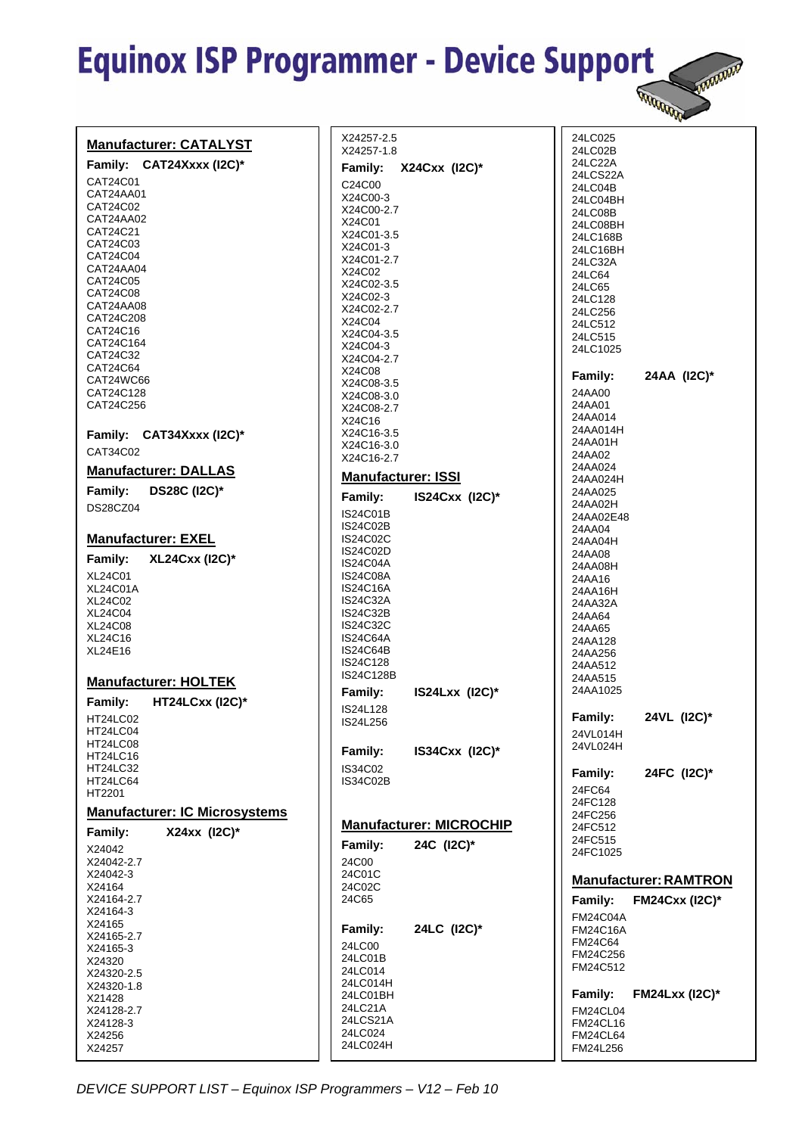|                                      |                                    | <b>DOWWW</b><br><b>RANGARAGE</b>        |
|--------------------------------------|------------------------------------|-----------------------------------------|
| <b>Manufacturer: CATALYST</b>        | X24257-2.5<br>X24257-1.8           | 24LC025<br>24LC02B                      |
| Family: CAT24Xxxx (I2C)*             | X24Cxx (I2C)*<br>Family:           | 24LC22A                                 |
| CAT24C01                             | C24C00                             | 24LCS22A<br>24LC04B                     |
| CAT24AA01<br>CAT24C02                | X24C00-3                           | 24LC04BH                                |
| CAT24AA02                            | X24C00-2.7<br>X24C01               | 24LC08B<br>24LC08BH                     |
| CAT24C21                             | X24C01-3.5                         | 24LC168B                                |
| CAT24C03<br>CAT24C04                 | X24C01-3                           | 24LC16BH                                |
| CAT24AA04                            | X24C01-2.7<br>X24C02               | 24LC32A                                 |
| CAT24C05                             | X24C02-3.5                         | 24LC64<br>24LC65                        |
| CAT24C08                             | X24C02-3                           | 24LC128                                 |
| CAT24AA08<br>CAT24C208               | X24C02-2.7                         | 24LC256                                 |
| CAT24C16                             | X24C04<br>X24C04-3.5               | 24LC512                                 |
| CAT24C164                            | X24C04-3                           | 24LC515<br>24LC1025                     |
| CAT24C32<br>CAT24C64                 | X24C04-2.7                         |                                         |
| CAT24WC66                            | X24C08<br>X24C08-3.5               | 24AA (12C)*<br><b>Family:</b>           |
| CAT24C128                            | X24C08-3.0                         | 24AA00                                  |
| CAT24C256                            | X24C08-2.7                         | 24AA01                                  |
|                                      | X24C16                             | 24AA014<br>24AA014H                     |
| Family: CAT34Xxxx (I2C)*             | X24C16-3.5<br>X24C16-3.0           | 24AA01H                                 |
| CAT34C02                             | X24C16-2.7                         | 24AA02                                  |
| <b>Manufacturer: DALLAS</b>          | <b>Manufacturer: ISSI</b>          | 24AA024                                 |
| <b>DS28C (I2C)*</b><br>Family:       |                                    | 24AA024H<br>24AA025                     |
| DS28CZ04                             | IS24Cxx (I2C)*<br>Family:          | 24AA02H                                 |
|                                      | <b>IS24C01B</b><br><b>IS24C02B</b> | 24AA02E48                               |
| <b>Manufacturer: EXEL</b>            | <b>IS24C02C</b>                    | 24AA04<br>24AA04H                       |
|                                      | IS24C02D                           | 24AA08                                  |
| <b>XL24Cxx (I2C)*</b><br>Family:     | IS24C04A                           | 24AA08H                                 |
| <b>XL24C01</b><br><b>XL24C01A</b>    | <b>IS24C08A</b><br><b>IS24C16A</b> | 24AA16                                  |
| XL24C02                              | <b>IS24C32A</b>                    | 24AA16H<br>24AA32A                      |
| <b>XL24C04</b>                       | <b>IS24C32B</b>                    | 24AA64                                  |
| <b>XL24C08</b>                       | <b>IS24C32C</b>                    | 24AA65                                  |
| XL24C16<br>XL24E16                   | <b>IS24C64A</b><br><b>IS24C64B</b> | 24AA128                                 |
|                                      | IS24C128                           | 24AA256<br>24AA512                      |
| <b>Manufacturer: HOLTEK</b>          | IS24C128B                          | 24AA515                                 |
|                                      | IS24Lxx (I2C)*<br>Family:          | 24AA1025                                |
| <b>HT24LCxx (I2C)*</b><br>Family:    | IS24L128                           | 24VL (I2C)*                             |
| <b>HT24LC02</b><br>HT24LC04          | IS24L256                           | Family:                                 |
| <b>HT24LC08</b>                      |                                    | 24VL014H<br>24VL024H                    |
| HT24LC16                             | IS34Cxx (I2C)*<br>Family:          |                                         |
| HT24LC32<br>HT24LC64                 | IS34C02<br><b>IS34C02B</b>         | 24FC (I2C)*<br>Family:                  |
| HT2201                               |                                    | 24FC64                                  |
| <b>Manufacturer: IC Microsystems</b> |                                    | 24FC128                                 |
|                                      | <b>Manufacturer: MICROCHIP</b>     | 24FC256<br>24FC512                      |
| X24xx (I2C)*<br>Family:              | 24C (I2C)*<br>Family:              | 24FC515                                 |
| X24042<br>X24042-2.7                 | 24C00                              | 24FC1025                                |
| X24042-3                             | 24C01C                             |                                         |
| X24164                               | 24C02C                             | <b>Manufacturer: RAMTRON</b>            |
| X24164-2.7                           | 24C65                              | Family:<br><b>FM24Cxx (I2C)*</b>        |
| X24164-3<br>X24165                   |                                    | <b>FM24C04A</b>                         |
| X24165-2.7                           | 24LC (I2C)*<br>Family:             | <b>FM24C16A</b>                         |
| X24165-3                             | 24LC00                             | <b>FM24C64</b><br>FM24C256              |
| X24320<br>X24320-2.5                 | 24LC01B<br>24LC014                 | FM24C512                                |
| X24320-1.8                           | 24LC014H                           |                                         |
| X21428                               | 24LC01BH                           | <b>FM24Lxx (I2C)*</b><br><b>Family:</b> |
| X24128-2.7                           | 24LC21A<br>24LCS21A                | <b>FM24CL04</b>                         |
| X24128-3<br>X24256                   | 24LC024                            | <b>FM24CL16</b><br>FM24CL64             |
| X24257                               | 24LC024H                           | FM24L256                                |
|                                      |                                    |                                         |

*DEVICE SUPPORT LIST – Equinox ISP Programmers – V12 – Feb 10*